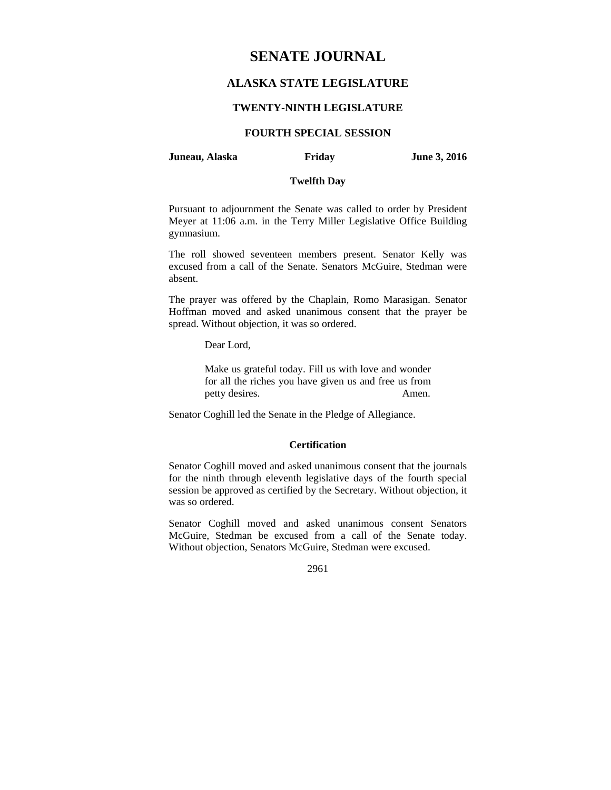# **SENATE JOURNAL**

# **ALASKA STATE LEGISLATURE**

# **TWENTY-NINTH LEGISLATURE**

# **FOURTH SPECIAL SESSION**

### **Juneau, Alaska Friday June 3, 2016**

# **Twelfth Day**

Pursuant to adjournment the Senate was called to order by President Meyer at 11:06 a.m. in the Terry Miller Legislative Office Building gymnasium.

The roll showed seventeen members present. Senator Kelly was excused from a call of the Senate. Senators McGuire, Stedman were absent.

The prayer was offered by the Chaplain, Romo Marasigan. Senator Hoffman moved and asked unanimous consent that the prayer be spread. Without objection, it was so ordered.

Dear Lord,

Make us grateful today. Fill us with love and wonder for all the riches you have given us and free us from petty desires. Amen.

Senator Coghill led the Senate in the Pledge of Allegiance.

# **Certification**

Senator Coghill moved and asked unanimous consent that the journals for the ninth through eleventh legislative days of the fourth special session be approved as certified by the Secretary. Without objection, it was so ordered.

Senator Coghill moved and asked unanimous consent Senators McGuire, Stedman be excused from a call of the Senate today. Without objection, Senators McGuire, Stedman were excused.

2961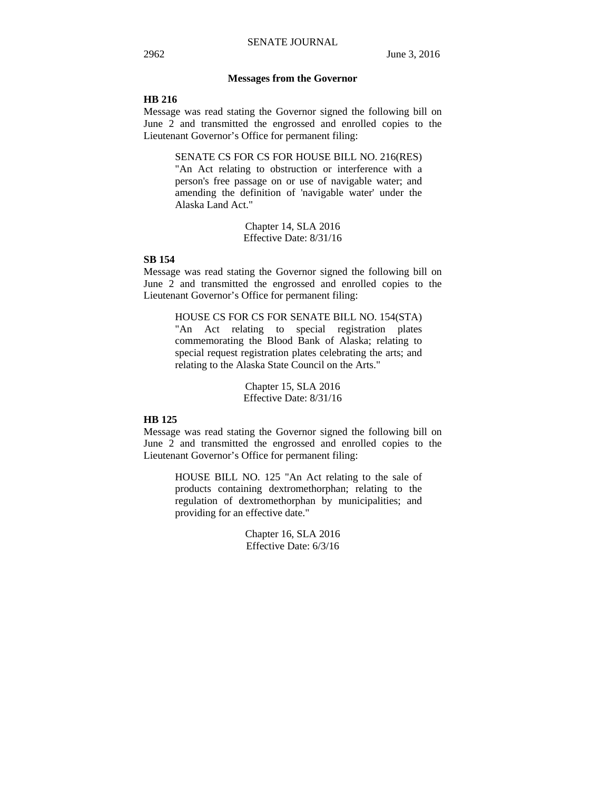## **Messages from the Governor**

# **HB 216**

Message was read stating the Governor signed the following bill on June 2 and transmitted the engrossed and enrolled copies to the Lieutenant Governor's Office for permanent filing:

SENATE CS FOR CS FOR HOUSE BILL NO. 216(RES)

"An Act relating to obstruction or interference with a person's free passage on or use of navigable water; and amending the definition of 'navigable water' under the Alaska Land Act."

> Chapter 14, SLA 2016 Effective Date: 8/31/16

# **SB 154**

Message was read stating the Governor signed the following bill on June 2 and transmitted the engrossed and enrolled copies to the Lieutenant Governor's Office for permanent filing:

> HOUSE CS FOR CS FOR SENATE BILL NO. 154(STA) "An Act relating to special registration plates commemorating the Blood Bank of Alaska; relating to special request registration plates celebrating the arts; and relating to the Alaska State Council on the Arts."

> > Chapter 15, SLA 2016 Effective Date: 8/31/16

## **HB 125**

Message was read stating the Governor signed the following bill on June 2 and transmitted the engrossed and enrolled copies to the Lieutenant Governor's Office for permanent filing:

> HOUSE BILL NO. 125 "An Act relating to the sale of products containing dextromethorphan; relating to the regulation of dextromethorphan by municipalities; and providing for an effective date."

> > Chapter 16, SLA 2016 Effective Date: 6/3/16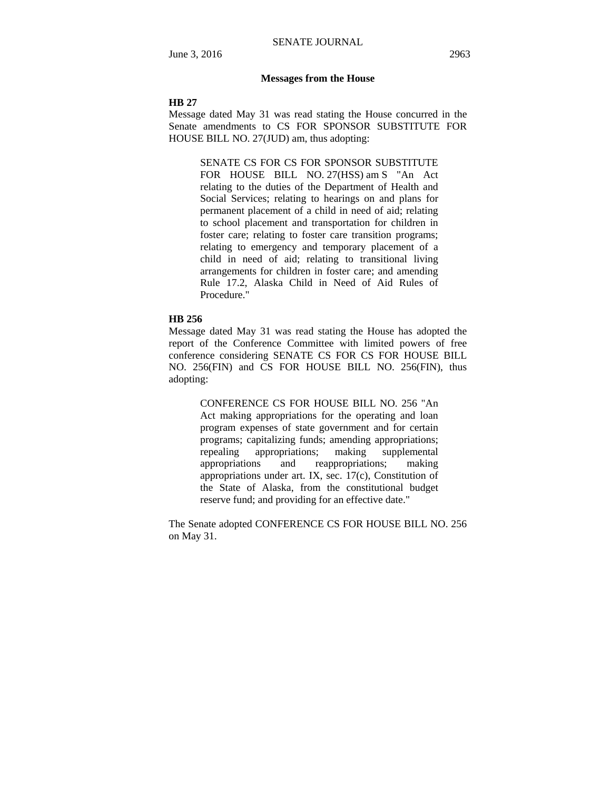#### **Messages from the House**

#### **HB 27**

Message dated May 31 was read stating the House concurred in the Senate amendments to CS FOR SPONSOR SUBSTITUTE FOR HOUSE BILL NO. 27(JUD) am, thus adopting:

> SENATE CS FOR CS FOR SPONSOR SUBSTITUTE FOR HOUSE BILL NO. 27(HSS) am S "An Act relating to the duties of the Department of Health and Social Services; relating to hearings on and plans for permanent placement of a child in need of aid; relating to school placement and transportation for children in foster care; relating to foster care transition programs; relating to emergency and temporary placement of a child in need of aid; relating to transitional living arrangements for children in foster care; and amending Rule 17.2, Alaska Child in Need of Aid Rules of Procedure."

# **HB 256**

Message dated May 31 was read stating the House has adopted the report of the Conference Committee with limited powers of free conference considering SENATE CS FOR CS FOR HOUSE BILL NO. 256(FIN) and CS FOR HOUSE BILL NO. 256(FIN), thus adopting:

> CONFERENCE CS FOR HOUSE BILL NO. 256 "An Act making appropriations for the operating and loan program expenses of state government and for certain programs; capitalizing funds; amending appropriations; repealing appropriations; making supplemental appropriations and reappropriations; making appropriations under art. IX, sec. 17(c), Constitution of the State of Alaska, from the constitutional budget reserve fund; and providing for an effective date."

The Senate adopted CONFERENCE CS FOR HOUSE BILL NO. 256 on May 31.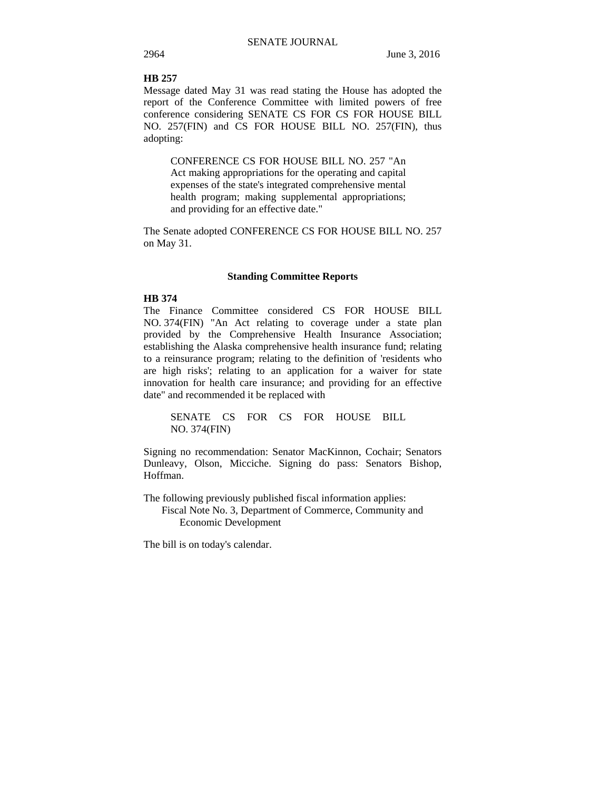# **HB 257**

Message dated May 31 was read stating the House has adopted the report of the Conference Committee with limited powers of free conference considering SENATE CS FOR CS FOR HOUSE BILL NO. 257(FIN) and CS FOR HOUSE BILL NO. 257(FIN), thus adopting:

CONFERENCE CS FOR HOUSE BILL NO. 257 "An Act making appropriations for the operating and capital expenses of the state's integrated comprehensive mental health program; making supplemental appropriations; and providing for an effective date."

The Senate adopted CONFERENCE CS FOR HOUSE BILL NO. 257 on May 31.

#### **Standing Committee Reports**

# **HB 374**

The Finance Committee considered CS FOR HOUSE BILL NO. 374(FIN) "An Act relating to coverage under a state plan provided by the Comprehensive Health Insurance Association; establishing the Alaska comprehensive health insurance fund; relating to a reinsurance program; relating to the definition of 'residents who are high risks'; relating to an application for a waiver for state innovation for health care insurance; and providing for an effective date" and recommended it be replaced with

SENATE CS FOR CS FOR HOUSE BILL NO. 374(FIN)

Signing no recommendation: Senator MacKinnon, Cochair; Senators Dunleavy, Olson, Micciche. Signing do pass: Senators Bishop, Hoffman.

The following previously published fiscal information applies: Fiscal Note No. 3, Department of Commerce, Community and Economic Development

The bill is on today's calendar.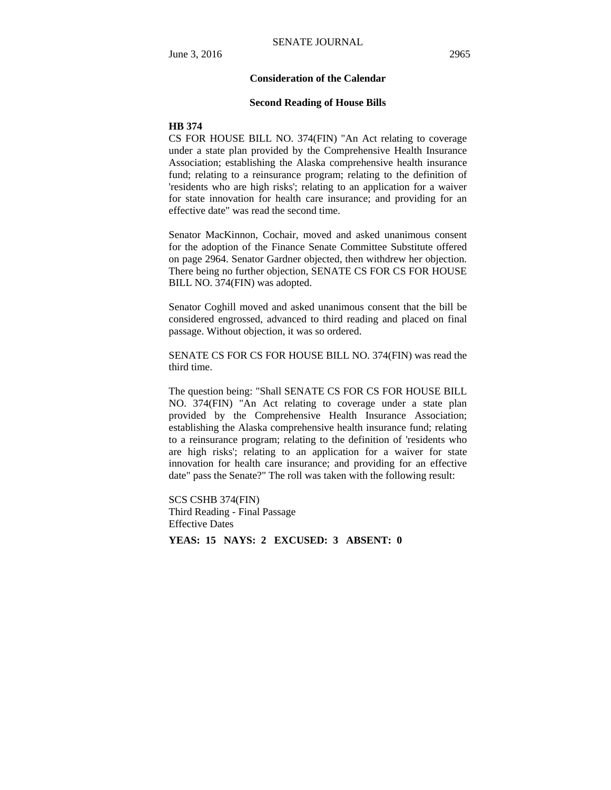# **Consideration of the Calendar**

#### **Second Reading of House Bills**

#### **HB 374**

CS FOR HOUSE BILL NO. 374(FIN) "An Act relating to coverage under a state plan provided by the Comprehensive Health Insurance Association; establishing the Alaska comprehensive health insurance fund; relating to a reinsurance program; relating to the definition of 'residents who are high risks'; relating to an application for a waiver for state innovation for health care insurance; and providing for an effective date" was read the second time.

Senator MacKinnon, Cochair, moved and asked unanimous consent for the adoption of the Finance Senate Committee Substitute offered on page 2964. Senator Gardner objected, then withdrew her objection. There being no further objection, SENATE CS FOR CS FOR HOUSE BILL NO. 374(FIN) was adopted.

Senator Coghill moved and asked unanimous consent that the bill be considered engrossed, advanced to third reading and placed on final passage. Without objection, it was so ordered.

SENATE CS FOR CS FOR HOUSE BILL NO. 374(FIN) was read the third time.

The question being: "Shall SENATE CS FOR CS FOR HOUSE BILL NO. 374(FIN) "An Act relating to coverage under a state plan provided by the Comprehensive Health Insurance Association; establishing the Alaska comprehensive health insurance fund; relating to a reinsurance program; relating to the definition of 'residents who are high risks'; relating to an application for a waiver for state innovation for health care insurance; and providing for an effective date" pass the Senate?" The roll was taken with the following result:

SCS CSHB 374(FIN) Third Reading - Final Passage Effective Dates

**YEAS: 15 NAYS: 2 EXCUSED: 3 ABSENT: 0**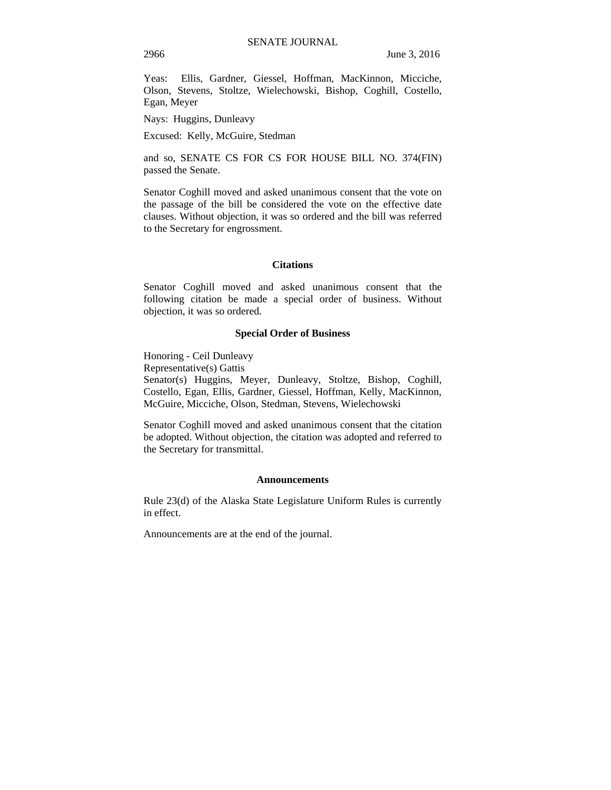Yeas: Ellis, Gardner, Giessel, Hoffman, MacKinnon, Micciche, Olson, Stevens, Stoltze, Wielechowski, Bishop, Coghill, Costello, Egan, Meyer

Nays: Huggins, Dunleavy

Excused: Kelly, McGuire, Stedman

and so, SENATE CS FOR CS FOR HOUSE BILL NO. 374(FIN) passed the Senate.

Senator Coghill moved and asked unanimous consent that the vote on the passage of the bill be considered the vote on the effective date clauses. Without objection, it was so ordered and the bill was referred to the Secretary for engrossment.

#### **Citations**

Senator Coghill moved and asked unanimous consent that the following citation be made a special order of business. Without objection, it was so ordered.

#### **Special Order of Business**

Honoring - Ceil Dunleavy Representative(s) Gattis Senator(s) Huggins, Meyer, Dunleavy, Stoltze, Bishop, Coghill, Costello, Egan, Ellis, Gardner, Giessel, Hoffman, Kelly, MacKinnon, McGuire, Micciche, Olson, Stedman, Stevens, Wielechowski

Senator Coghill moved and asked unanimous consent that the citation be adopted. Without objection, the citation was adopted and referred to the Secretary for transmittal.

#### **Announcements**

Rule 23(d) of the Alaska State Legislature Uniform Rules is currently in effect.

Announcements are at the end of the journal.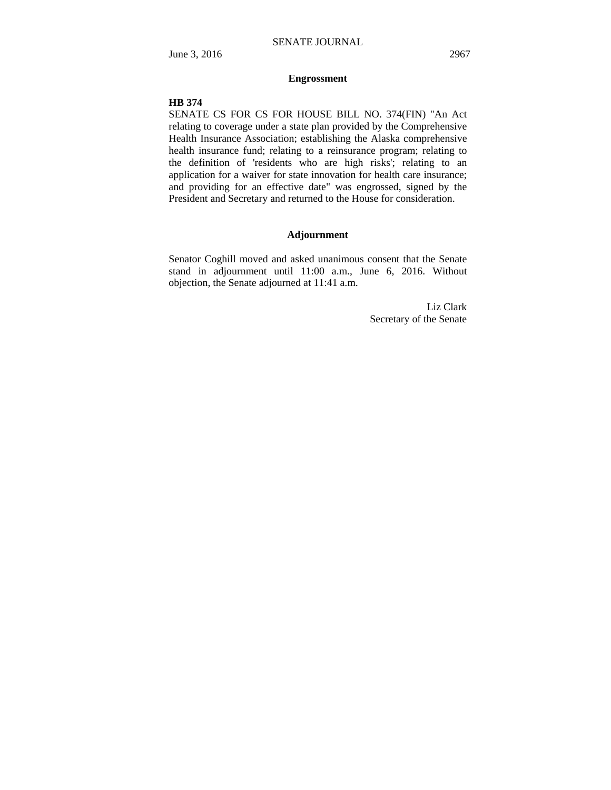# **Engrossment**

#### **HB 374**

SENATE CS FOR CS FOR HOUSE BILL NO. 374(FIN) "An Act relating to coverage under a state plan provided by the Comprehensive Health Insurance Association; establishing the Alaska comprehensive health insurance fund; relating to a reinsurance program; relating to the definition of 'residents who are high risks'; relating to an application for a waiver for state innovation for health care insurance; and providing for an effective date" was engrossed, signed by the President and Secretary and returned to the House for consideration.

### **Adjournment**

Senator Coghill moved and asked unanimous consent that the Senate stand in adjournment until 11:00 a.m., June 6, 2016. Without objection, the Senate adjourned at 11:41 a.m.

> Liz Clark Secretary of the Senate